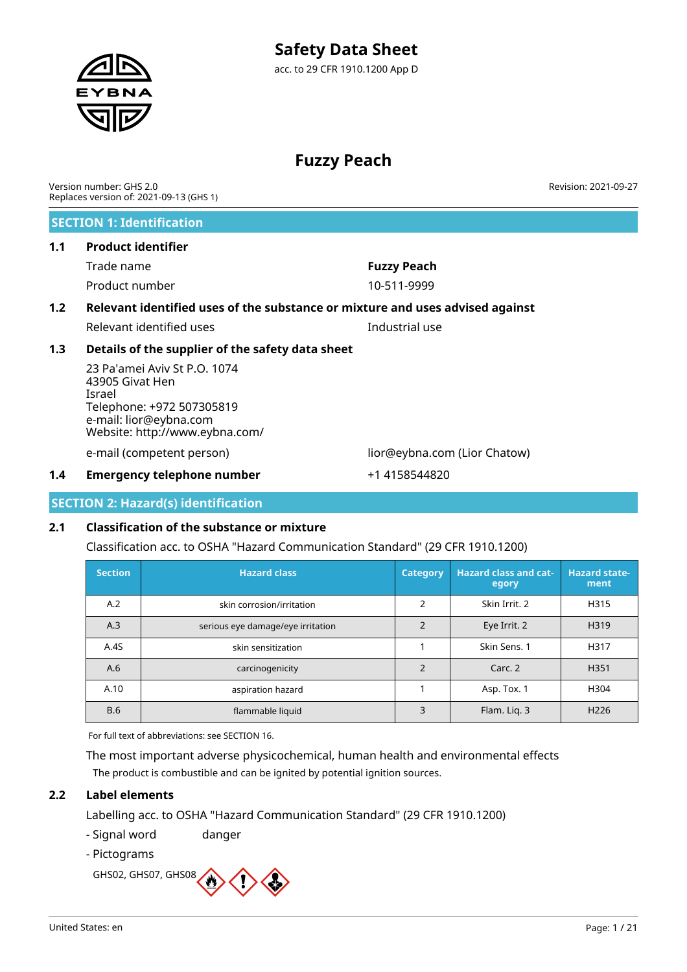# **Fuzzy Peach**

Version number: GHS 2.0 Replaces version of: 2021-09-13 (GHS 1)

#### **SECTION 1: Identification**

#### **1.1 Product identifier**

Trade name **Fuzzy Peach** Product number 10-511-9999

# **1.2 Relevant identified uses of the substance or mixture and uses advised against**

Relevant identified uses Industrial use

#### **1.3 Details of the supplier of the safety data sheet**

23 Pa'amei Aviv St P.O. 1074 43905 Givat Hen Israel Telephone: +972 507305819 e-mail: lior@eybna.com Website: http://www.eybna.com/

e-mail (competent person) lior@eybna.com (Lior Chatow)

#### **1.4 Emergency telephone number**  $+1$  4158544820

#### **SECTION 2: Hazard(s) identification**

#### **2.1 Classification of the substance or mixture**

Classification acc. to OSHA "Hazard Communication Standard" (29 CFR 1910.1200)

| <b>Section</b> | <b>Hazard class</b>               | <b>Category</b> | <b>Hazard class and cat-</b><br>egory | <b>Hazard state-</b><br>ment |
|----------------|-----------------------------------|-----------------|---------------------------------------|------------------------------|
| A.2            | skin corrosion/irritation         |                 | Skin Irrit. 2                         | H315                         |
| A.3            | serious eye damage/eye irritation |                 | Eye Irrit. 2                          | H319                         |
| A.4S           | skin sensitization                |                 | Skin Sens. 1                          | H317                         |
| A.6            | carcinogenicity                   | $\mathcal{P}$   | Carc. 2                               | H <sub>351</sub>             |
| A.10           | aspiration hazard                 |                 | Asp. Tox. 1                           | H304                         |
| <b>B.6</b>     | flammable liquid                  | 3               | Flam. Lig. 3                          | H <sub>226</sub>             |

For full text of abbreviations: see SECTION 16.

The most important adverse physicochemical, human health and environmental effects The product is combustible and can be ignited by potential ignition sources.

#### **2.2 Label elements**

Labelling acc. to OSHA "Hazard Communication Standard" (29 CFR 1910.1200)

- Signal word danger
- Pictograms

GHS02, GHS07, GHS08

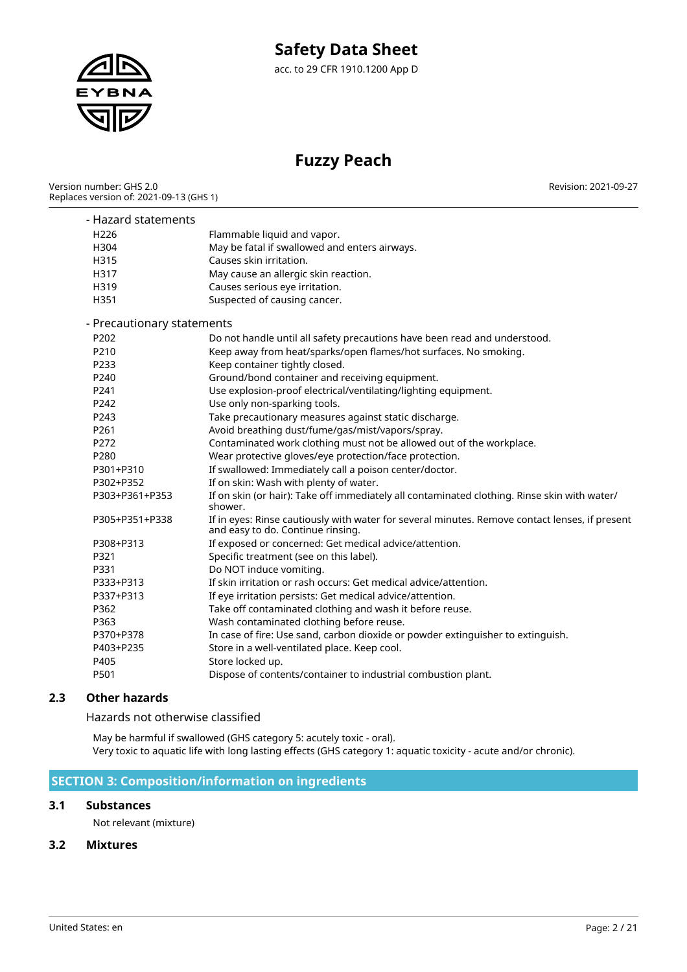

# **Fuzzy Peach**

Version number: GHS 2.0 Replaces version of: 2021-09-13 (GHS 1) Revision: 2021-09-27

| - Hazard statements        |                                                                                                                                     |
|----------------------------|-------------------------------------------------------------------------------------------------------------------------------------|
| H <sub>226</sub>           | Flammable liquid and vapor.                                                                                                         |
| H304                       | May be fatal if swallowed and enters airways.                                                                                       |
| H315                       | Causes skin irritation.                                                                                                             |
| H317                       | May cause an allergic skin reaction.                                                                                                |
| H319                       | Causes serious eye irritation.                                                                                                      |
| H351                       | Suspected of causing cancer.                                                                                                        |
| - Precautionary statements |                                                                                                                                     |
| P202                       | Do not handle until all safety precautions have been read and understood.                                                           |
| P210                       | Keep away from heat/sparks/open flames/hot surfaces. No smoking.                                                                    |
| P233                       | Keep container tightly closed.                                                                                                      |
| P240                       | Ground/bond container and receiving equipment.                                                                                      |
| P241                       | Use explosion-proof electrical/ventilating/lighting equipment.                                                                      |
| P242                       | Use only non-sparking tools.                                                                                                        |
| P243                       | Take precautionary measures against static discharge.                                                                               |
| P261                       | Avoid breathing dust/fume/gas/mist/vapors/spray.                                                                                    |
| P272                       | Contaminated work clothing must not be allowed out of the workplace.                                                                |
| P280                       | Wear protective gloves/eye protection/face protection.                                                                              |
| P301+P310                  | If swallowed: Immediately call a poison center/doctor.                                                                              |
| P302+P352                  | If on skin: Wash with plenty of water.                                                                                              |
| P303+P361+P353             | If on skin (or hair): Take off immediately all contaminated clothing. Rinse skin with water/<br>shower.                             |
| P305+P351+P338             | If in eyes: Rinse cautiously with water for several minutes. Remove contact lenses, if present<br>and easy to do. Continue rinsing. |
| P308+P313                  | If exposed or concerned: Get medical advice/attention.                                                                              |
| P321                       | Specific treatment (see on this label).                                                                                             |
| P331                       | Do NOT induce vomiting.                                                                                                             |
| P333+P313                  | If skin irritation or rash occurs: Get medical advice/attention.                                                                    |
| P337+P313                  | If eye irritation persists: Get medical advice/attention.                                                                           |
| P362                       | Take off contaminated clothing and wash it before reuse.                                                                            |
| P363                       | Wash contaminated clothing before reuse.                                                                                            |
| P370+P378                  | In case of fire: Use sand, carbon dioxide or powder extinguisher to extinguish.                                                     |
| P403+P235                  | Store in a well-ventilated place. Keep cool.                                                                                        |
| P405                       | Store locked up.                                                                                                                    |
| P501                       | Dispose of contents/container to industrial combustion plant.                                                                       |

#### **2.3 Other hazards**

Hazards not otherwise classified

May be harmful if swallowed (GHS category 5: acutely toxic - oral). Very toxic to aquatic life with long lasting effects (GHS category 1: aquatic toxicity - acute and/or chronic).

#### **SECTION 3: Composition/information on ingredients**

#### **3.1 Substances**

Not relevant (mixture)

#### **3.2 Mixtures**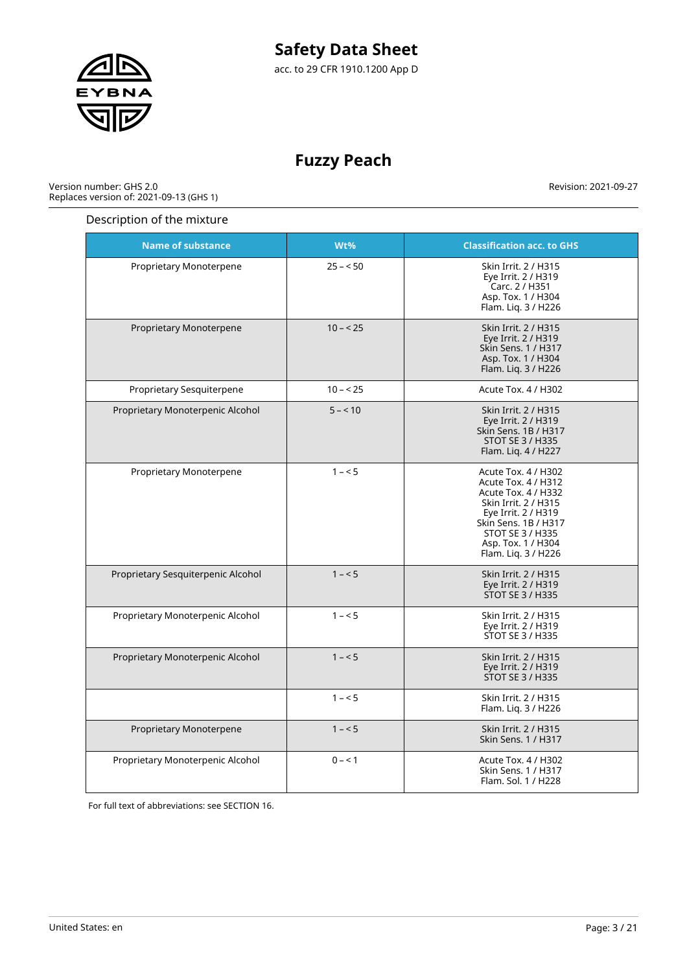

# **Fuzzy Peach**

Version number: GHS 2.0 Replaces version of: 2021-09-13 (GHS 1)

#### Description of the mixture

**Name of substance Wt% Classification acc. to GHS** Proprietary Monoterpene  $\vert$  25 – < 50  $\vert$  Skin Irrit. 2 / H315 Eye Irrit. 2 / H319 Carc. 2 / H351 Asp. Tox. 1 / H304 Flam. Liq. 3 / H226 Proprietary Monoterpene 10 – < 25 Skin Irrit. 2 / H315 Eye Irrit. 2 / H319 Skin Sens. 1 / H317 Asp. Tox. 1 / H304 Flam. Liq. 3 / H226 Proprietary Sesquiterpene 10 – (10 – < 25 Acute Tox. 4 / H302 Proprietary Monoterpenic Alcohol 5 – < 10 Skin Irrit. 2 / H315 Eye Irrit. 2 / H319 Skin Sens. 1B / H317 STOT SE 3 / H335 Flam. Liq. 4 / H227 Proprietary Monoterpene 1 – 5 – 1 – <5 – – Acute Tox. 4 / H302 Acute Tox. 4 / H312 Acute Tox. 4 / H332 Skin Irrit. 2 / H315 Eye Irrit. 2 / H319 Skin Sens. 1B / H317 STOT SE 3 / H335 Asp. Tox. 1 / H304 Flam. Liq. 3 / H226 Proprietary Sesquiterpenic Alcohol | 1 - < 5 Eye Irrit. 2 / H319 STOT SE 3 / H335 Proprietary Monoterpenic Alcohol 1 – < 5 Skin Irrit. 2 / H315 Eye Irrit. 2 / H319 STOT SE 3 / H335 Proprietary Monoterpenic Alcohol 1 – < 5 Skin Irrit. 2 / H315 Eye Irrit. 2 / H319 STOT SE 3 / H335 1 – < 5 Skin Irrit. 2 / H315 Flam. Liq. 3 / H226 Proprietary Monoterpene 1 – stepene 1 – < 5 Skin Irrit. 2 / H315 Skin Sens. 1 / H317 Proprietary Monoterpenic Alcohol  $0 - 51$   $0 - 1$  Acute Tox. 4 / H302 Skin Sens. 1 / H317 Flam. Sol. 1 / H228

For full text of abbreviations: see SECTION 16.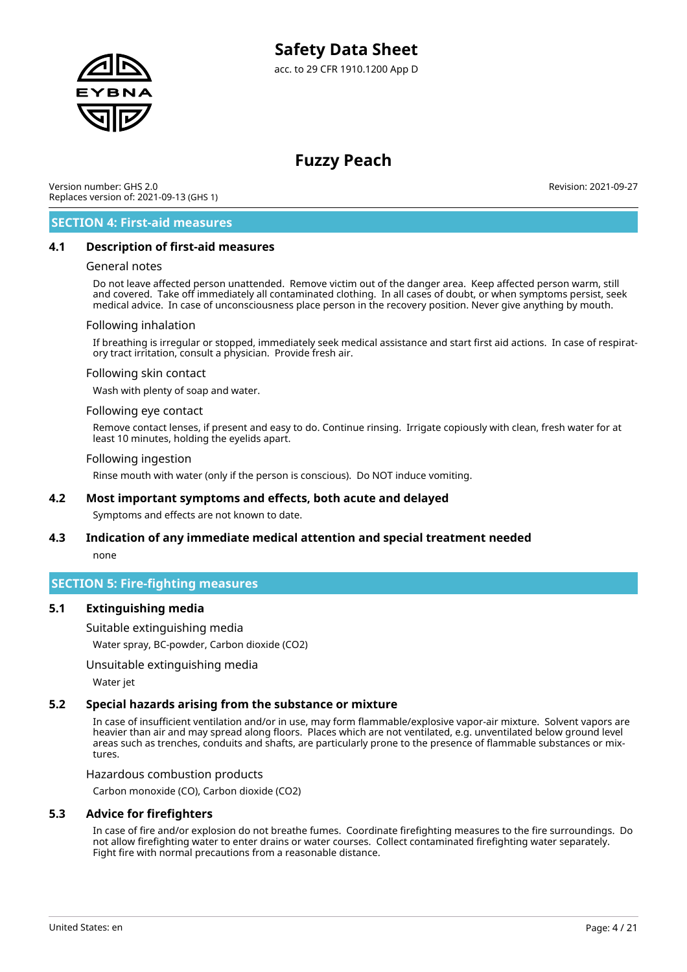

Version number: GHS 2.0 Replaces version of: 2021-09-13 (GHS 1) Revision: 2021-09-27

#### **SECTION 4: First-aid measures**

#### **4.1 Description of first-aid measures**

#### General notes

Do not leave affected person unattended. Remove victim out of the danger area. Keep affected person warm, still and covered. Take off immediately all contaminated clothing. In all cases of doubt, or when symptoms persist, seek medical advice. In case of unconsciousness place person in the recovery position. Never give anything by mouth.

#### Following inhalation

If breathing is irregular or stopped, immediately seek medical assistance and start first aid actions. In case of respiratory tract irritation, consult a physician. Provide fresh air.

#### Following skin contact

Wash with plenty of soap and water.

#### Following eye contact

Remove contact lenses, if present and easy to do. Continue rinsing. Irrigate copiously with clean, fresh water for at least 10 minutes, holding the eyelids apart.

#### Following ingestion

Rinse mouth with water (only if the person is conscious). Do NOT induce vomiting.

#### **4.2 Most important symptoms and effects, both acute and delayed**

Symptoms and effects are not known to date.

### **4.3 Indication of any immediate medical attention and special treatment needed**

none

#### **SECTION 5: Fire-fighting measures**

#### **5.1 Extinguishing media**

Suitable extinguishing media

Water spray, BC-powder, Carbon dioxide (CO2)

#### Unsuitable extinguishing media

Water jet

#### **5.2 Special hazards arising from the substance or mixture**

In case of insufficient ventilation and/or in use, may form flammable/explosive vapor-air mixture. Solvent vapors are heavier than air and may spread along floors. Places which are not ventilated, e.g. unventilated below ground level areas such as trenches, conduits and shafts, are particularly prone to the presence of flammable substances or mixtures.

#### Hazardous combustion products

Carbon monoxide (CO), Carbon dioxide (CO2)

#### **5.3 Advice for firefighters**

In case of fire and/or explosion do not breathe fumes. Coordinate firefighting measures to the fire surroundings. Do not allow firefighting water to enter drains or water courses. Collect contaminated firefighting water separately. Fight fire with normal precautions from a reasonable distance.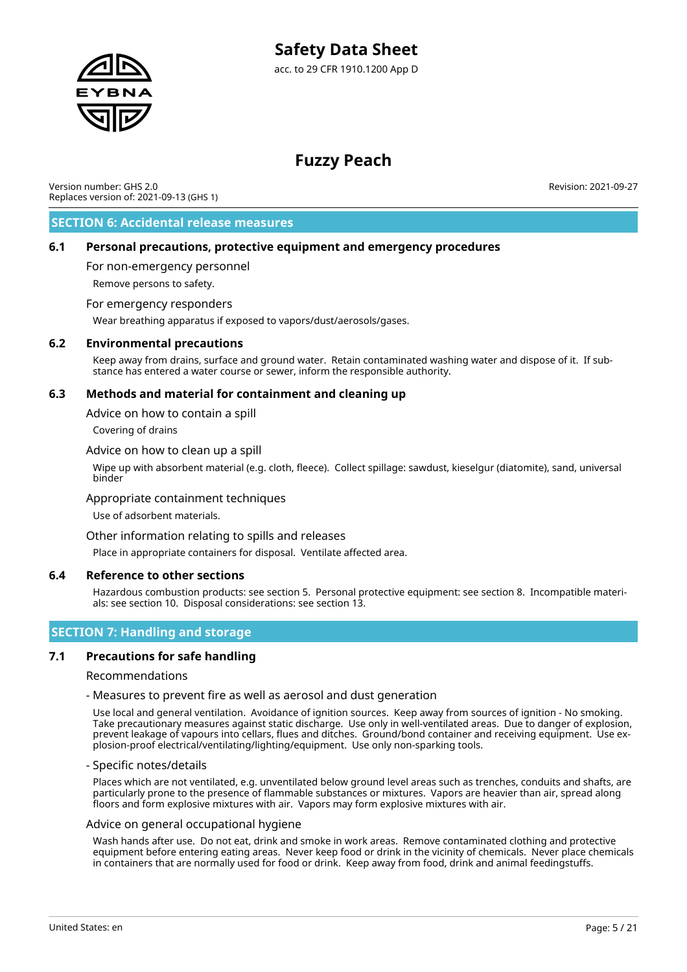

# **Fuzzy Peach**

Version number: GHS 2.0 Replaces version of: 2021-09-13 (GHS 1) Revision: 2021-09-27

#### **SECTION 6: Accidental release measures**

#### **6.1 Personal precautions, protective equipment and emergency procedures**

For non-emergency personnel

Remove persons to safety.

#### For emergency responders

Wear breathing apparatus if exposed to vapors/dust/aerosols/gases.

#### **6.2 Environmental precautions**

Keep away from drains, surface and ground water. Retain contaminated washing water and dispose of it. If substance has entered a water course or sewer, inform the responsible authority.

#### **6.3 Methods and material for containment and cleaning up**

Advice on how to contain a spill

Covering of drains

#### Advice on how to clean up a spill

Wipe up with absorbent material (e.g. cloth, fleece). Collect spillage: sawdust, kieselgur (diatomite), sand, universal binder

#### Appropriate containment techniques

Use of adsorbent materials.

#### Other information relating to spills and releases

Place in appropriate containers for disposal. Ventilate affected area.

#### **6.4 Reference to other sections**

Hazardous combustion products: see section 5. Personal protective equipment: see section 8. Incompatible materials: see section 10. Disposal considerations: see section 13.

#### **SECTION 7: Handling and storage**

#### **7.1 Precautions for safe handling**

Recommendations

#### - Measures to prevent fire as well as aerosol and dust generation

Use local and general ventilation. Avoidance of ignition sources. Keep away from sources of ignition - No smoking. Take precautionary measures against static discharge. Use only in well-ventilated areas. Due to danger of explosion, prevent leakage of vapours into cellars, flues and ditches. Ground/bond container and receiving equipment. Use explosion-proof electrical/ventilating/lighting/equipment. Use only non-sparking tools.

#### - Specific notes/details

Places which are not ventilated, e.g. unventilated below ground level areas such as trenches, conduits and shafts, are particularly prone to the presence of flammable substances or mixtures. Vapors are heavier than air, spread along floors and form explosive mixtures with air. Vapors may form explosive mixtures with air.

#### Advice on general occupational hygiene

Wash hands after use. Do not eat, drink and smoke in work areas. Remove contaminated clothing and protective equipment before entering eating areas. Never keep food or drink in the vicinity of chemicals. Never place chemicals in containers that are normally used for food or drink. Keep away from food, drink and animal feedingstuffs.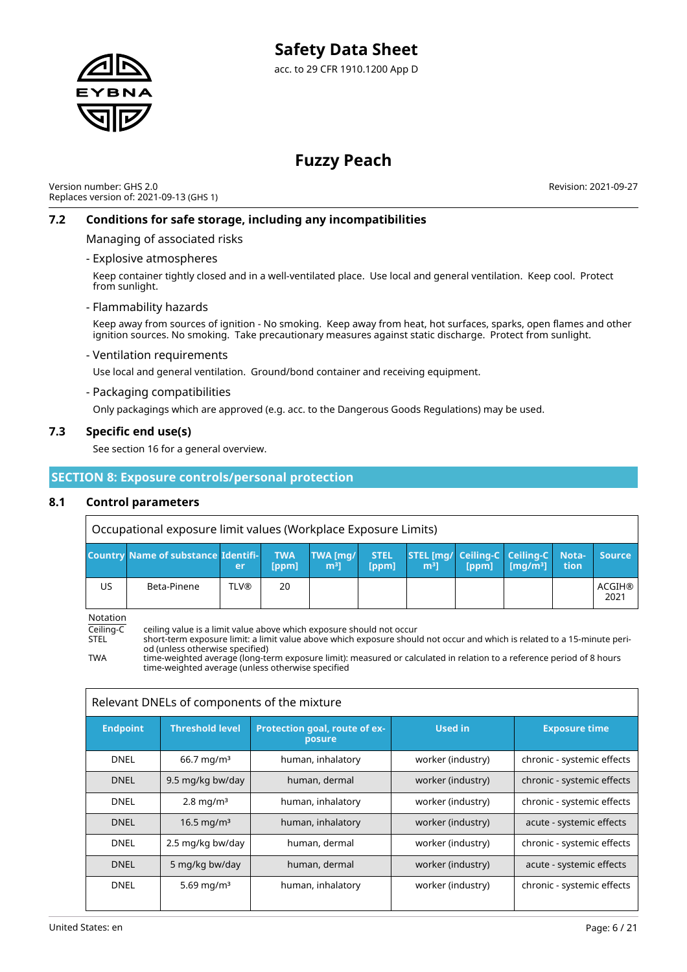

Version number: GHS 2.0 Replaces version of: 2021-09-13 (GHS 1) Revision: 2021-09-27

#### **7.2 Conditions for safe storage, including any incompatibilities**

Managing of associated risks

#### - Explosive atmospheres

Keep container tightly closed and in a well-ventilated place. Use local and general ventilation. Keep cool. Protect from sunlight.

#### - Flammability hazards

Keep away from sources of ignition - No smoking. Keep away from heat, hot surfaces, sparks, open flames and other ignition sources. No smoking. Take precautionary measures against static discharge. Protect from sunlight.

#### - Ventilation requirements

Use local and general ventilation. Ground/bond container and receiving equipment.

#### - Packaging compatibilities

Only packagings which are approved (e.g. acc. to the Dangerous Goods Regulations) may be used.

#### **7.3 Specific end use(s)**

See section 16 for a general overview.

#### **SECTION 8: Exposure controls/personal protection**

#### **8.1 Control parameters**

| Occupational exposure limit values (Workplace Exposure Limits) |                                            |             |                     |                                   |                      |                                                             |       |                               |      |                       |
|----------------------------------------------------------------|--------------------------------------------|-------------|---------------------|-----------------------------------|----------------------|-------------------------------------------------------------|-------|-------------------------------|------|-----------------------|
|                                                                | <b>Country Name of substance Identifi-</b> | er          | <b>TWA</b><br>[ppm] | <b>TWA [mg/</b><br>m <sup>3</sup> | <b>STEL</b><br>[ppm] | STEL [mg/ Ceiling-C   Ceiling-C   Nota-<br>m <sup>3</sup> 1 | [ppm] | $\lceil$ [mg/m <sup>3</sup> ] | tion | <b>Source</b>         |
| US.                                                            | Beta-Pinene                                | <b>TLV®</b> | 20                  |                                   |                      |                                                             |       |                               |      | <b>ACGIH®</b><br>2021 |

Notation

Ceiling-C ceiling value is a limit value above which exposure should not occur

STEL short-term exposure limit: a limit value above which exposure should not occur and which is related to a 15-minute period (unless otherwise specified)

TWA time-weighted average (long-term exposure limit): measured or calculated in relation to a reference period of 8 hours time-weighted average (unless otherwise specified

|                 | Relevant DNELs of components of the mixture |                                         |                   |                            |  |  |
|-----------------|---------------------------------------------|-----------------------------------------|-------------------|----------------------------|--|--|
| <b>Endpoint</b> | <b>Threshold level</b>                      | Protection goal, route of ex-<br>posure | <b>Used in</b>    | <b>Exposure time</b>       |  |  |
| <b>DNEL</b>     | $66.7 \,\mathrm{mq/m^3}$                    | human, inhalatory                       | worker (industry) | chronic - systemic effects |  |  |
| <b>DNEL</b>     | 9.5 mg/kg bw/day                            | human, dermal                           | worker (industry) | chronic - systemic effects |  |  |
| <b>DNEL</b>     | $2.8 \text{ mg/m}^3$                        | human, inhalatory                       | worker (industry) | chronic - systemic effects |  |  |
| <b>DNEL</b>     | 16.5 mg/m <sup>3</sup>                      | human, inhalatory                       | worker (industry) | acute - systemic effects   |  |  |
| <b>DNEL</b>     | 2.5 mg/kg bw/day                            | human, dermal                           | worker (industry) | chronic - systemic effects |  |  |
| <b>DNEL</b>     | 5 mg/kg bw/day                              | human, dermal                           | worker (industry) | acute - systemic effects   |  |  |
| <b>DNEL</b>     | 5.69 mg/m <sup>3</sup>                      | human, inhalatory                       | worker (industry) | chronic - systemic effects |  |  |

٦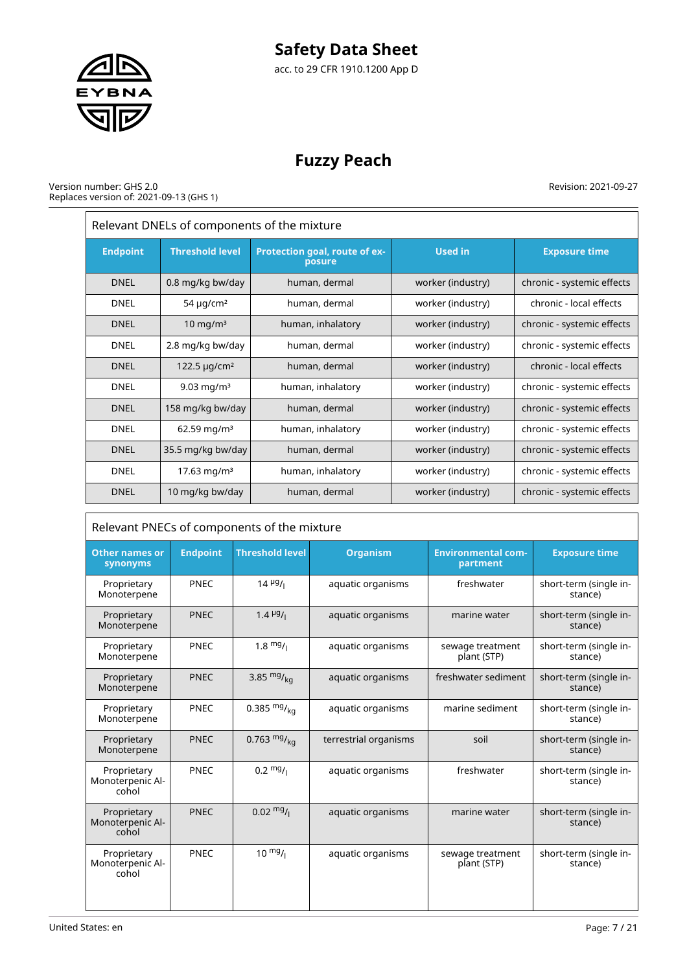

# **Fuzzy Peach**

#### Version number: GHS 2.0 Replaces version of: 2021-09-13 (GHS 1)

Revision: 2021-09-27

|                 | Relevant DNELs of components of the mixture                       |                   |                   |                            |  |
|-----------------|-------------------------------------------------------------------|-------------------|-------------------|----------------------------|--|
| <b>Endpoint</b> | <b>Threshold level</b><br>Protection goal, route of ex-<br>posure |                   | <b>Used in</b>    | <b>Exposure time</b>       |  |
| <b>DNEL</b>     | 0.8 mg/kg bw/day                                                  | human, dermal     | worker (industry) | chronic - systemic effects |  |
| <b>DNEL</b>     | 54 $\mu$ g/cm <sup>2</sup>                                        | human, dermal     | worker (industry) | chronic - local effects    |  |
| <b>DNEL</b>     | $10 \text{ mg/m}^3$                                               | human, inhalatory | worker (industry) | chronic - systemic effects |  |
| <b>DNEL</b>     | 2.8 mg/kg bw/day                                                  | human, dermal     | worker (industry) | chronic - systemic effects |  |
| <b>DNEL</b>     | 122.5 $\mu$ g/cm <sup>2</sup>                                     | human, dermal     | worker (industry) | chronic - local effects    |  |
| <b>DNEL</b>     | 9.03 mg/m <sup>3</sup>                                            | human, inhalatory | worker (industry) | chronic - systemic effects |  |
| <b>DNEL</b>     | 158 mg/kg bw/day                                                  | human, dermal     | worker (industry) | chronic - systemic effects |  |
| <b>DNEL</b>     | 62.59 mg/m <sup>3</sup>                                           | human, inhalatory | worker (industry) | chronic - systemic effects |  |
| <b>DNEL</b>     | 35.5 mg/kg bw/day                                                 | human, dermal     | worker (industry) | chronic - systemic effects |  |
| <b>DNEL</b>     | 17.63 mg/m <sup>3</sup>                                           | human, inhalatory | worker (industry) | chronic - systemic effects |  |
| <b>DNEL</b>     | 10 mg/kg bw/day                                                   | human, dermal     | worker (industry) | chronic - systemic effects |  |

| Relevant PNECs of components of the mixture |                 |                        |                       |                                       |                                   |  |
|---------------------------------------------|-----------------|------------------------|-----------------------|---------------------------------------|-----------------------------------|--|
| <b>Other names or</b><br>synonyms           | <b>Endpoint</b> | <b>Threshold level</b> | <b>Organism</b>       | <b>Environmental com-</b><br>partment | <b>Exposure time</b>              |  |
| Proprietary<br>Monoterpene                  | PNEC            | $14 \frac{\mu g}{\mu}$ | aquatic organisms     | freshwater                            | short-term (single in-<br>stance) |  |
| Proprietary<br>Monoterpene                  | <b>PNEC</b>     | $1.4 \frac{\mu g}{I}$  | aquatic organisms     | marine water                          | short-term (single in-<br>stance) |  |
| Proprietary<br>Monoterpene                  | PNEC            | $1.8 \frac{mg}{l}$     | aquatic organisms     | sewage treatment<br>plant (STP)       | short-term (single in-<br>stance) |  |
| Proprietary<br>Monoterpene                  | <b>PNEC</b>     | 3.85 $mg/kq$           | aquatic organisms     | freshwater sediment                   | short-term (single in-<br>stance) |  |
| Proprietary<br>Monoterpene                  | PNEC            | 0.385 $mgr{_{kq}}$     | aquatic organisms     | marine sediment                       | short-term (single in-<br>stance) |  |
| Proprietary<br>Monoterpene                  | <b>PNEC</b>     | 0.763 $mg/_{ka}$       | terrestrial organisms | soil                                  | short-term (single in-<br>stance) |  |
| Proprietary<br>Monoterpenic Al-<br>cohol    | PNEC            | $0.2 \frac{mg}{l}$     | aquatic organisms     | freshwater                            | short-term (single in-<br>stance) |  |
| Proprietary<br>Monoterpenic Al-<br>cohol    | <b>PNEC</b>     | $0.02 \frac{mg}{l}$    | aquatic organisms     | marine water                          | short-term (single in-<br>stance) |  |
| Proprietary<br>Monoterpenic Al-<br>cohol    | PNEC            | $10^{mg}$ /            | aquatic organisms     | sewage treatment<br>plant (STP)       | short-term (single in-<br>stance) |  |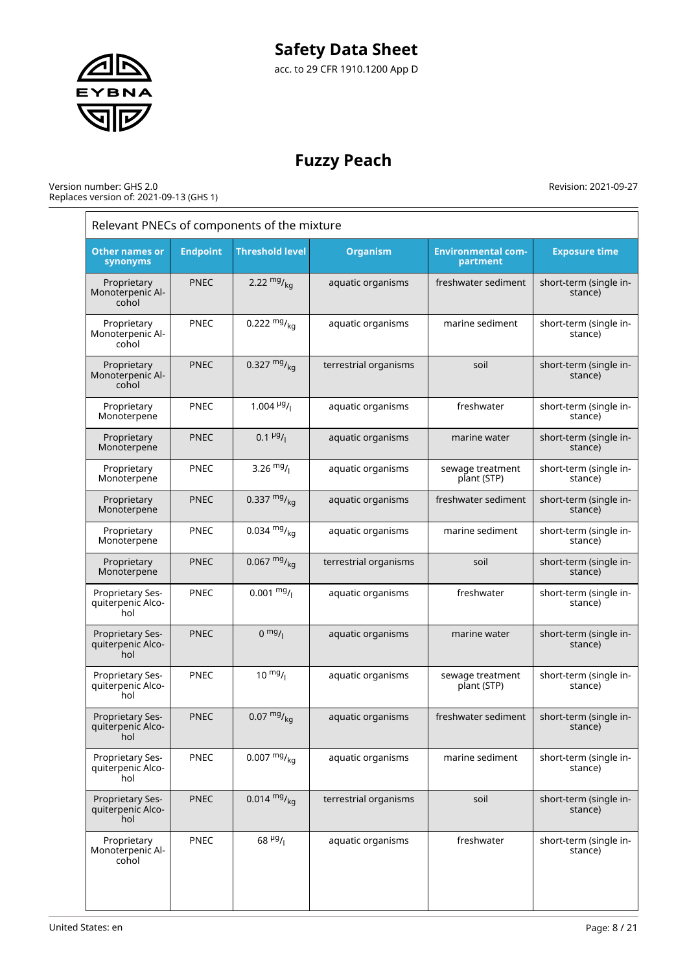

# **Fuzzy Peach**

#### Version number: GHS 2.0 Replaces version of: 2021-09-13 (GHS 1)

|                                              | Relevant PNECs of components of the mixture |                         |                       |                                       |                                   |  |  |
|----------------------------------------------|---------------------------------------------|-------------------------|-----------------------|---------------------------------------|-----------------------------------|--|--|
| <b>Other names or</b><br>synonyms            | <b>Endpoint</b>                             | <b>Threshold level</b>  | <b>Organism</b>       | <b>Environmental com-</b><br>partment | <b>Exposure time</b>              |  |  |
| Proprietary<br>Monoterpenic Al-<br>cohol     | <b>PNEC</b>                                 | 2.22 $mg/kq$            | aquatic organisms     | freshwater sediment                   | short-term (single in-<br>stance) |  |  |
| Proprietary<br>Monoterpenic Al-<br>cohol     | <b>PNEC</b>                                 | 0.222 $mg/kq$           | aquatic organisms     | marine sediment                       | short-term (single in-<br>stance) |  |  |
| Proprietary<br>Monoterpenic Al-<br>cohol     | <b>PNEC</b>                                 | 0.327 $mg/_{ka}$        | terrestrial organisms | soil                                  | short-term (single in-<br>stance) |  |  |
| Proprietary<br>Monoterpene                   | PNEC                                        | 1.004 $\frac{\mu g}{I}$ | aquatic organisms     | freshwater                            | short-term (single in-<br>stance) |  |  |
| Proprietary<br>Monoterpene                   | <b>PNEC</b>                                 | $0.1 \frac{\mu g}{I}$   | aquatic organisms     | marine water                          | short-term (single in-<br>stance) |  |  |
| Proprietary<br>Monoterpene                   | <b>PNEC</b>                                 | 3.26 $mg/$              | aquatic organisms     | sewage treatment<br>plant (STP)       | short-term (single in-<br>stance) |  |  |
| Proprietary<br>Monoterpene                   | <b>PNEC</b>                                 | 0.337 $mg/_{ka}$        | aquatic organisms     | freshwater sediment                   | short-term (single in-<br>stance) |  |  |
| Proprietary<br>Monoterpene                   | <b>PNEC</b>                                 | 0.034 $mg/kq$           | aquatic organisms     | marine sediment                       | short-term (single in-<br>stance) |  |  |
| Proprietary<br>Monoterpene                   | <b>PNEC</b>                                 | 0.067 $mg/kq$           | terrestrial organisms | soil                                  | short-term (single in-<br>stance) |  |  |
| Proprietary Ses-<br>quiterpenic Alco-<br>hol | <b>PNEC</b>                                 | $0.001 \frac{mg}{l}$    | aquatic organisms     | freshwater                            | short-term (single in-<br>stance) |  |  |
| Proprietary Ses-<br>quiterpenic Alco-<br>hol | <b>PNEC</b>                                 | $0 \frac{mg}{l}$        | aquatic organisms     | marine water                          | short-term (single in-<br>stance) |  |  |
| Proprietary Ses-<br>quiterpenic Alco-<br>hol | PNEC                                        | $10^{mg}$ /             | aquatic organisms     | sewage treatment<br>plant (STP)       | short-term (single in-<br>stance) |  |  |
| Proprietary Ses-<br>quiterpenic Alco-<br>hol | <b>PNEC</b>                                 | $0.07 \frac{mg}{kg}$    | aquatic organisms     | freshwater sediment                   | short-term (single in-<br>stance) |  |  |
| Proprietary Ses-<br>quiterpenic Alco-<br>hol | PNEC                                        | $0.007 \frac{mg}{kg}$   | aquatic organisms     | marine sediment                       | short-term (single in-<br>stance) |  |  |
| Proprietary Ses-<br>quiterpenic Alco-<br>hol | <b>PNEC</b>                                 | $0.014 \frac{mg}{kg}$   | terrestrial organisms | soil                                  | short-term (single in-<br>stance) |  |  |
| Proprietary<br>Monoterpenic Al-<br>cohol     | PNEC                                        | $68 \frac{\mu g}{I}$    | aquatic organisms     | freshwater                            | short-term (single in-<br>stance) |  |  |
|                                              |                                             |                         |                       |                                       |                                   |  |  |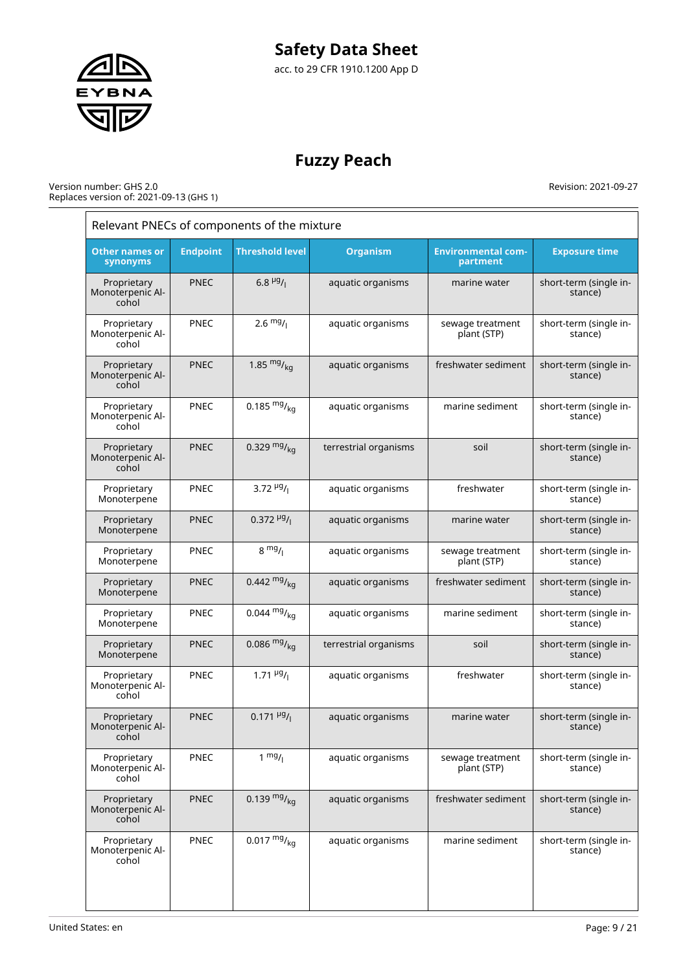

# **Fuzzy Peach**

#### Version number: GHS 2.0 Replaces version of: 2021-09-13 (GHS 1)

| <b>Environmental com-</b><br>partment<br>aquatic organisms<br>marine water<br>aquatic organisms<br>sewage treatment<br>plant (STP)<br>aquatic organisms<br>freshwater sediment<br>aquatic organisms<br>marine sediment | <b>Exposure time</b><br>short-term (single in-<br>stance)<br>short-term (single in-<br>stance)<br>short-term (single in-<br>stance)<br>short-term (single in-                                                      |
|------------------------------------------------------------------------------------------------------------------------------------------------------------------------------------------------------------------------|--------------------------------------------------------------------------------------------------------------------------------------------------------------------------------------------------------------------|
|                                                                                                                                                                                                                        |                                                                                                                                                                                                                    |
|                                                                                                                                                                                                                        |                                                                                                                                                                                                                    |
|                                                                                                                                                                                                                        |                                                                                                                                                                                                                    |
|                                                                                                                                                                                                                        |                                                                                                                                                                                                                    |
|                                                                                                                                                                                                                        | stance)                                                                                                                                                                                                            |
| terrestrial organisms<br>soil                                                                                                                                                                                          | short-term (single in-<br>stance)                                                                                                                                                                                  |
| freshwater<br>aquatic organisms                                                                                                                                                                                        | short-term (single in-<br>stance)                                                                                                                                                                                  |
| marine water                                                                                                                                                                                                           | short-term (single in-<br>stance)                                                                                                                                                                                  |
| sewage treatment<br>plant (STP)                                                                                                                                                                                        | short-term (single in-<br>stance)                                                                                                                                                                                  |
| freshwater sediment                                                                                                                                                                                                    | short-term (single in-<br>stance)                                                                                                                                                                                  |
| marine sediment                                                                                                                                                                                                        | short-term (single in-<br>stance)                                                                                                                                                                                  |
| soil                                                                                                                                                                                                                   | short-term (single in-<br>stance)                                                                                                                                                                                  |
| freshwater                                                                                                                                                                                                             | short-term (single in-<br>stance)                                                                                                                                                                                  |
| marine water                                                                                                                                                                                                           | short-term (single in-<br>stance)                                                                                                                                                                                  |
| sewage treatment<br>plant (STP)                                                                                                                                                                                        | short-term (single in-<br>stance)                                                                                                                                                                                  |
| freshwater sediment                                                                                                                                                                                                    | short-term (single in-<br>stance)                                                                                                                                                                                  |
| marine sediment                                                                                                                                                                                                        | short-term (single in-<br>stance)                                                                                                                                                                                  |
|                                                                                                                                                                                                                        | aquatic organisms<br>aquatic organisms<br>aquatic organisms<br>aquatic organisms<br>terrestrial organisms<br>aquatic organisms<br>aquatic organisms<br>aquatic organisms<br>aquatic organisms<br>aquatic organisms |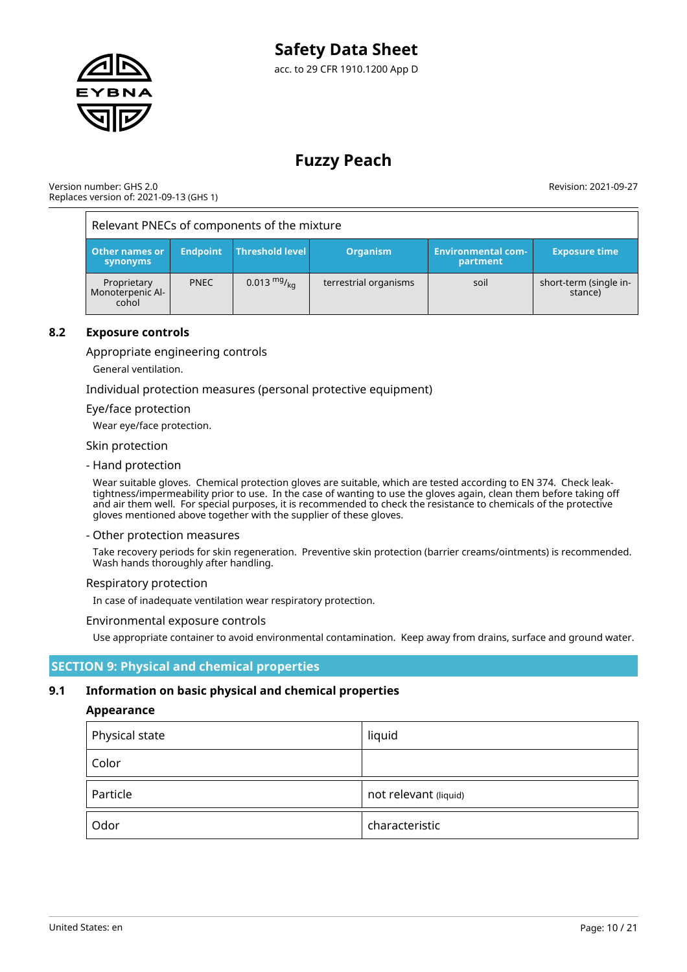

#### Version number: GHS 2.0 Replaces version of: 2021-09-13 (GHS 1)

Revision: 2021-09-27

| Relevant PNECs of components of the mixture |                 |                        |                       |                                       |                                   |
|---------------------------------------------|-----------------|------------------------|-----------------------|---------------------------------------|-----------------------------------|
| <b>Other names or</b><br>synonyms           | <b>Endpoint</b> | <b>Threshold level</b> | <b>Organism</b>       | <b>Environmental com-</b><br>partment | <b>Exposure time</b>              |
| Proprietary<br>Monoterpenic Al-<br>cohol    | <b>PNEC</b>     | 0.013 $mg/_{kq}$       | terrestrial organisms | soil                                  | short-term (single in-<br>stance) |

#### **8.2 Exposure controls**

Appropriate engineering controls

General ventilation.

Individual protection measures (personal protective equipment)

Eye/face protection

Wear eye/face protection.

#### Skin protection

- Hand protection

Wear suitable gloves. Chemical protection gloves are suitable, which are tested according to EN 374. Check leaktightness/impermeability prior to use. In the case of wanting to use the gloves again, clean them before taking off and air them well. For special purposes, it is recommended to check the resistance to chemicals of the protective gloves mentioned above together with the supplier of these gloves.

#### - Other protection measures

Take recovery periods for skin regeneration. Preventive skin protection (barrier creams/ointments) is recommended. Wash hands thoroughly after handling.

#### Respiratory protection

In case of inadequate ventilation wear respiratory protection.

#### Environmental exposure controls

Use appropriate container to avoid environmental contamination. Keep away from drains, surface and ground water.

#### **SECTION 9: Physical and chemical properties**

#### **9.1 Information on basic physical and chemical properties**

#### **Appearance**

| Physical state | liquid                |
|----------------|-----------------------|
| Color          |                       |
| Particle       | not relevant (liquid) |
| Odor           | characteristic        |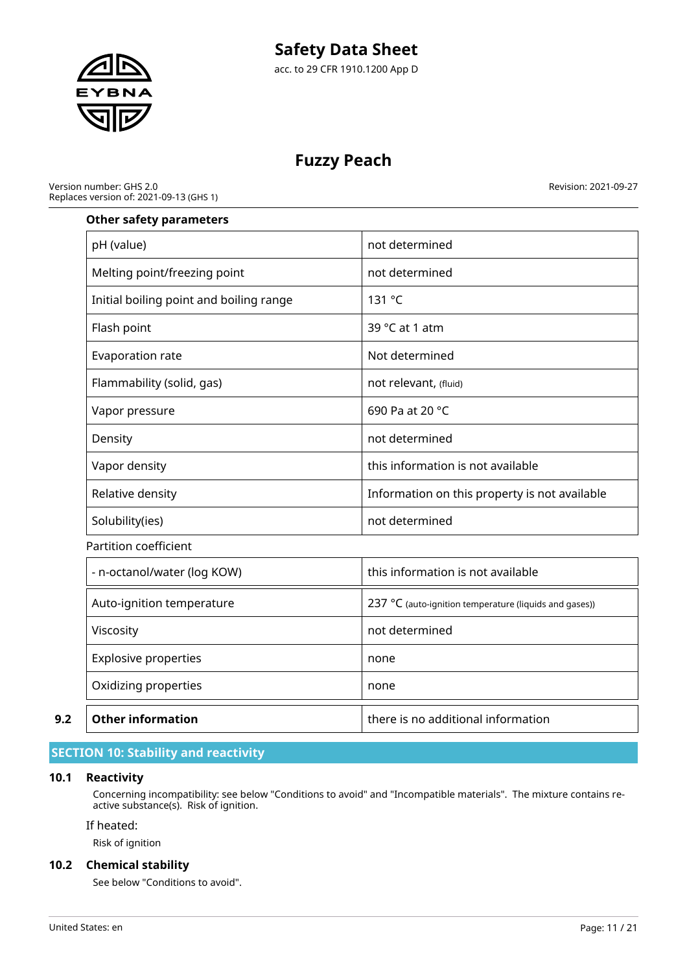

# **Fuzzy Peach**

Version number: GHS 2.0 Replaces version of: 2021-09-13 (GHS 1) Revision: 2021-09-27

#### **Other safety parameters**

| pH (value)                              | not determined                                         |  |
|-----------------------------------------|--------------------------------------------------------|--|
| Melting point/freezing point            | not determined                                         |  |
| Initial boiling point and boiling range | 131 °C                                                 |  |
| Flash point                             | 39 °C at 1 atm                                         |  |
| Evaporation rate                        | Not determined                                         |  |
| Flammability (solid, gas)               | not relevant, (fluid)                                  |  |
| Vapor pressure                          | 690 Pa at 20 °C                                        |  |
| Density                                 | not determined                                         |  |
| Vapor density                           | this information is not available                      |  |
| Relative density                        | Information on this property is not available          |  |
| Solubility(ies)                         | not determined                                         |  |
| Partition coefficient                   |                                                        |  |
| - n-octanol/water (log KOW)             | this information is not available                      |  |
| Auto-ignition temperature               | 237 °C (auto-ignition temperature (liquids and gases)) |  |
| Viscosity                               | not determined                                         |  |
| <b>Explosive properties</b>             | none                                                   |  |
| Oxidizing properties                    | none                                                   |  |
| <b>Other information</b>                | there is no additional information                     |  |

### **SECTION 10: Stability and reactivity**

#### **10.1 Reactivity**

Concerning incompatibility: see below "Conditions to avoid" and "Incompatible materials". The mixture contains reactive substance(s). Risk of ignition.

#### If heated:

Risk of ignition

#### **10.2 Chemical stability**

See below "Conditions to avoid".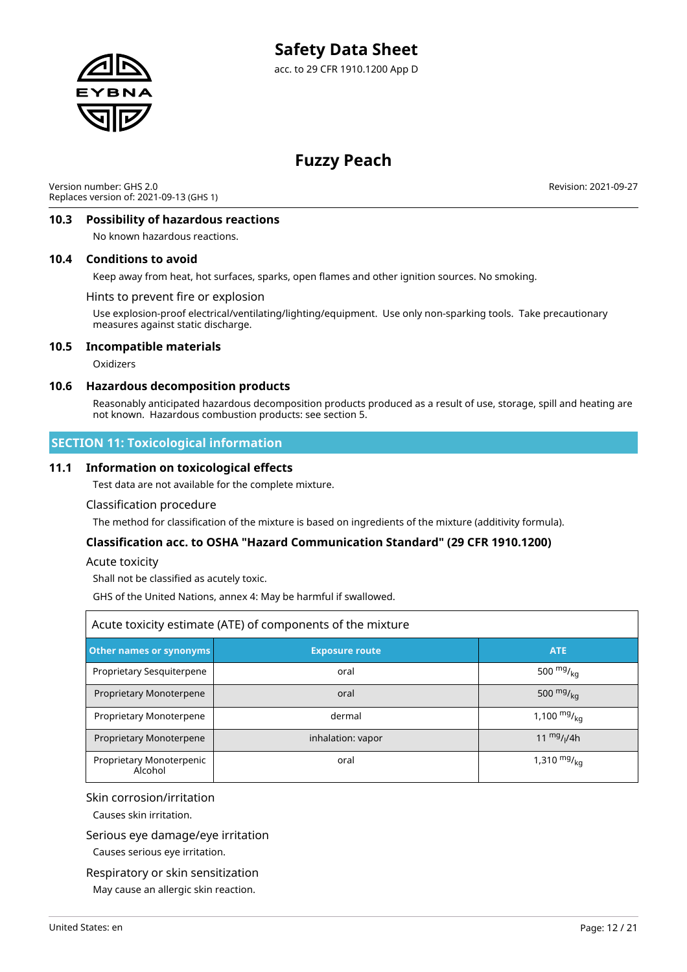

Version number: GHS 2.0 Replaces version of: 2021-09-13 (GHS 1) Revision: 2021-09-27

#### **10.3 Possibility of hazardous reactions**

No known hazardous reactions.

#### **10.4 Conditions to avoid**

Keep away from heat, hot surfaces, sparks, open flames and other ignition sources. No smoking.

Hints to prevent fire or explosion

Use explosion-proof electrical/ventilating/lighting/equipment. Use only non-sparking tools. Take precautionary measures against static discharge.

#### **10.5 Incompatible materials**

**Oxidizers** 

#### **10.6 Hazardous decomposition products**

Reasonably anticipated hazardous decomposition products produced as a result of use, storage, spill and heating are not known. Hazardous combustion products: see section 5.

#### **SECTION 11: Toxicological information**

#### **11.1 Information on toxicological effects**

Test data are not available for the complete mixture.

#### Classification procedure

The method for classification of the mixture is based on ingredients of the mixture (additivity formula).

#### **Classification acc. to OSHA "Hazard Communication Standard" (29 CFR 1910.1200)**

Acute toxicity

Shall not be classified as acutely toxic.

GHS of the United Nations, annex 4: May be harmful if swallowed.

| Acute toxicity estimate (ATE) of components of the mixture |                       |                  |  |  |  |
|------------------------------------------------------------|-----------------------|------------------|--|--|--|
| Other names or synonyms                                    | <b>Exposure route</b> | <b>ATE</b>       |  |  |  |
| Proprietary Sesquiterpene                                  | oral                  | 500 $mg/_{kq}$   |  |  |  |
| Proprietary Monoterpene                                    | oral                  | 500 $mg/kq$      |  |  |  |
| Proprietary Monoterpene                                    | dermal                | 1,100 $mg/_{ka}$ |  |  |  |
| Proprietary Monoterpene                                    | inhalation: vapor     | 11 $mg/1/4h$     |  |  |  |
| Proprietary Monoterpenic<br>Alcohol                        | oral                  | 1,310 $mg/_{kq}$ |  |  |  |

#### Skin corrosion/irritation

Causes skin irritation.

#### Serious eye damage/eye irritation

Causes serious eye irritation.

Respiratory or skin sensitization

May cause an allergic skin reaction.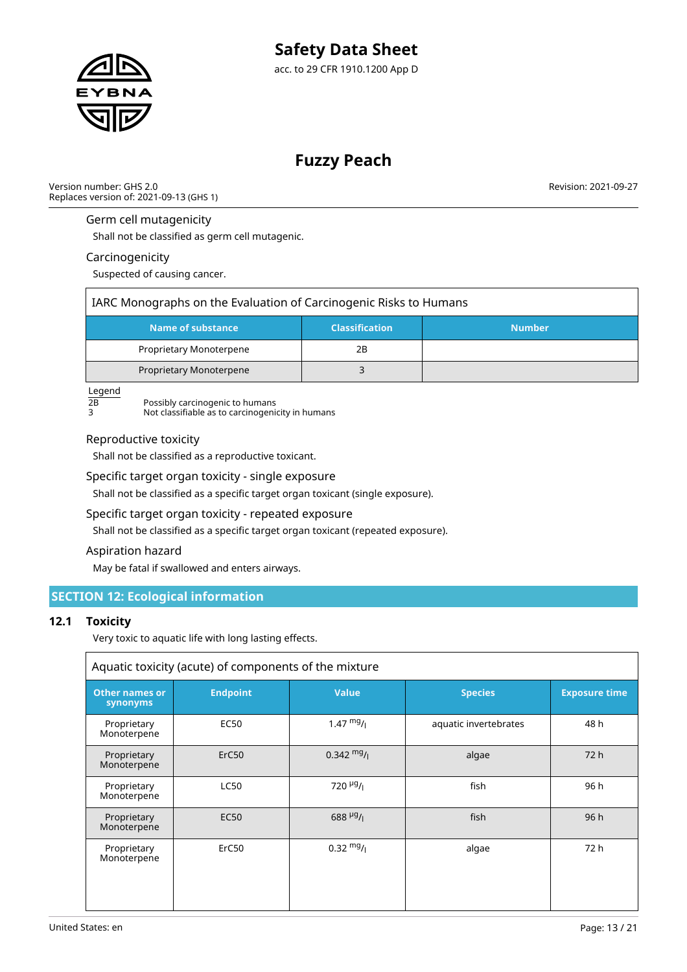

# **Fuzzy Peach**

Version number: GHS 2.0 Replaces version of: 2021-09-13 (GHS 1) Revision: 2021-09-27

#### Germ cell mutagenicity

Shall not be classified as germ cell mutagenic.

#### Carcinogenicity

Suspected of causing cancer.

| IARC Monographs on the Evaluation of Carcinogenic Risks to Humans |                       |               |
|-------------------------------------------------------------------|-----------------------|---------------|
| Name of substance                                                 | <b>Classification</b> | <b>Number</b> |
| Proprietary Monoterpene                                           | 2В                    |               |
| Proprietary Monoterpene                                           |                       |               |

 $\frac{\text{Legend}}{\text{2B}}\\ \text{3}$ 

2B Possibly carcinogenic to humans 3 Not classifiable as to carcinogenicity in humans

#### Reproductive toxicity

Shall not be classified as a reproductive toxicant.

#### Specific target organ toxicity - single exposure

Shall not be classified as a specific target organ toxicant (single exposure).

#### Specific target organ toxicity - repeated exposure

Shall not be classified as a specific target organ toxicant (repeated exposure).

#### Aspiration hazard

May be fatal if swallowed and enters airways.

#### **SECTION 12: Ecological information**

#### **12.1 Toxicity**

r

Very toxic to aquatic life with long lasting effects.

|                            | Aquatic toxicity (acute) of components of the mixture |                           |                       |                      |
|----------------------------|-------------------------------------------------------|---------------------------|-----------------------|----------------------|
| Other names or<br>synonyms | <b>Endpoint</b>                                       | <b>Value</b>              | <b>Species</b>        | <b>Exposure time</b> |
| Proprietary<br>Monoterpene | <b>EC50</b>                                           | 1.47 $mg/1$               | aquatic invertebrates | 48 h                 |
| Proprietary<br>Monoterpene | ErC <sub>50</sub>                                     | $0.342 \text{ mg}$ /      | algae                 | 72h                  |
| Proprietary<br>Monoterpene | <b>LC50</b>                                           | $720$ $Hg$ / <sub>1</sub> | fish                  | 96 h                 |
| Proprietary<br>Monoterpene | <b>EC50</b>                                           | 688 $\mu$ g <sub>/1</sub> | fish                  | 96h                  |
| Proprietary<br>Monoterpene | ErC <sub>50</sub>                                     | $0.32 \frac{mg}{l}$       | algae                 | 72 h                 |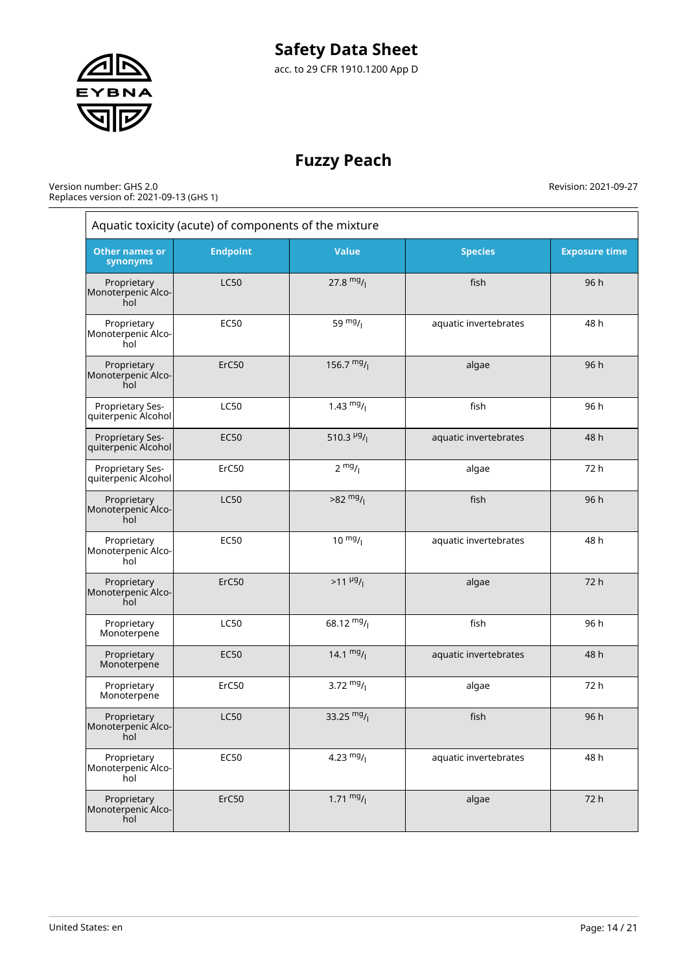

#### Version number: GHS 2.0 Replaces version of: 2021-09-13 (GHS 1)

|                                          | Aquatic toxicity (acute) of components of the mixture |                       |                       |                      |
|------------------------------------------|-------------------------------------------------------|-----------------------|-----------------------|----------------------|
| <b>Other names or</b><br>synonyms        | <b>Endpoint</b>                                       | <b>Value</b>          | <b>Species</b>        | <b>Exposure time</b> |
| Proprietary<br>Monoterpenic Alco-<br>hol | <b>LC50</b>                                           | 27.8 $mg/1$           | fish                  | 96 h                 |
| Proprietary<br>Monoterpenic Alco-<br>hol | <b>EC50</b>                                           | 59 $mg/1$             | aquatic invertebrates | 48 h                 |
| Proprietary<br>Monoterpenic Alco-<br>hol | ErC50                                                 | 156.7 $mg/$           | algae                 | 96 h                 |
| Proprietary Ses-<br>quiterpenic Alcohol  | <b>LC50</b>                                           | 1.43 $mg/$            | fish                  | 96 h                 |
| Proprietary Ses-<br>quiterpenic Alcohol  | <b>EC50</b>                                           | 510.3 $\mu$ g/        | aquatic invertebrates | 48 h                 |
| Proprietary Ses-<br>quiterpenic Alcohol  | ErC50                                                 | $2 \frac{mg}{l}$      | algae                 | 72 h                 |
| Proprietary<br>Monoterpenic Alco-<br>hol | <b>LC50</b>                                           | $>82 \frac{mg}{l}$    | fish                  | 96 h                 |
| Proprietary<br>Monoterpenic Alco-<br>hol | <b>EC50</b>                                           | $10^{mg}$ /           | aquatic invertebrates | 48 h                 |
| Proprietary<br>Monoterpenic Alco-<br>hol | ErC50                                                 | $>11 \frac{\mu g}{I}$ | algae                 | 72h                  |
| Proprietary<br>Monoterpene               | <b>LC50</b>                                           | 68.12 $mg/$           | fish                  | 96 h                 |
| Proprietary<br>Monoterpene               | EC50                                                  | 14.1 $mg/$            | aquatic invertebrates | 48 h                 |
| Proprietary<br>Monoterpene               | ErC50                                                 | 3.72 $mg/$            | algae                 | 72 h                 |
| Proprietary<br>Monoterpenic Alco-<br>hol | <b>LC50</b>                                           | 33.25 $mg/1$          | fish                  | 96 h                 |
| Proprietary<br>Monoterpenic Alco-<br>hol | <b>EC50</b>                                           | 4.23 $mg/$            | aquatic invertebrates | 48 h                 |
| Proprietary<br>Monoterpenic Alco-<br>hol | ErC50                                                 | $1.71 \text{ mg}$ /   | algae                 | 72 h                 |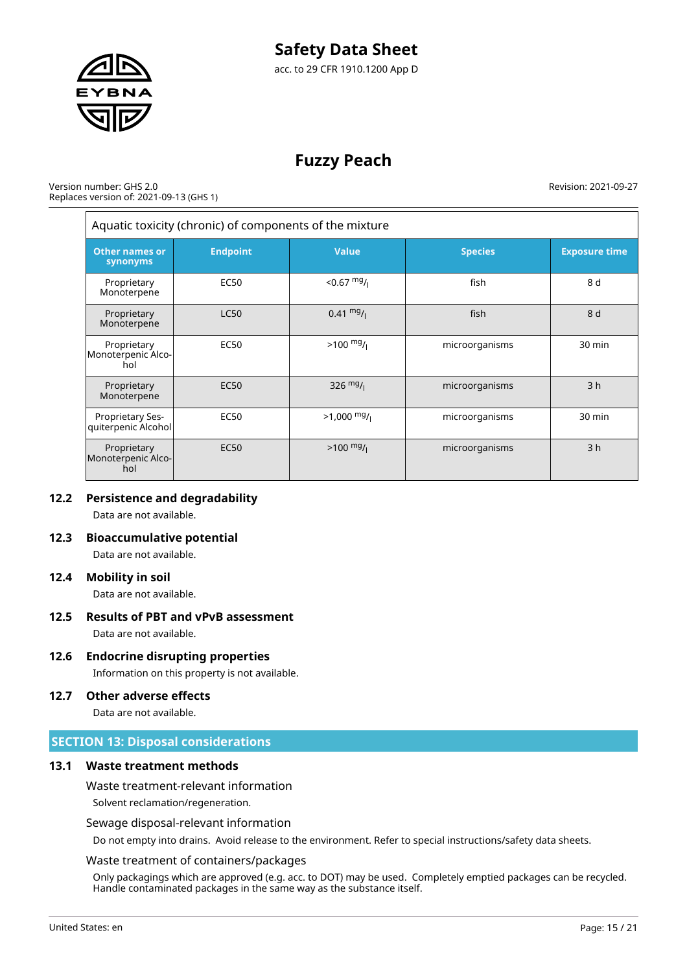

Version number: GHS 2.0 Replaces version of: 2021-09-13 (GHS 1) Revision: 2021-09-27

|                                          | Aquatic toxicity (chronic) of components of the mixture |                           |                |                      |
|------------------------------------------|---------------------------------------------------------|---------------------------|----------------|----------------------|
| <b>Other names or</b><br>synonyms        | <b>Endpoint</b>                                         | <b>Value</b>              | <b>Species</b> | <b>Exposure time</b> |
| Proprietary<br>Monoterpene               | <b>EC50</b>                                             | $<$ 0.67 mg/              | fish           | 8 d                  |
| Proprietary<br>Monoterpene               | <b>LC50</b>                                             | $0.41 \text{ mg}$ /       | fish           | 8 d                  |
| Proprietary<br>Monoterpenic Alco-<br>hol | <b>EC50</b>                                             | $>100$ mg/                | microorganisms | 30 min               |
| Proprietary<br>Monoterpene               | <b>EC50</b>                                             | 326 $mg/1$                | microorganisms | 3 <sub>h</sub>       |
| Proprietary Ses-<br>quiterpenic Alcohol  | <b>EC50</b>                                             | $>1,000$ mg/ <sub>1</sub> | microorganisms | 30 min               |
| Proprietary<br>Monoterpenic Alco-<br>hol | <b>EC50</b>                                             | $>100 \frac{mg}{l}$       | microorganisms | 3 <sub>h</sub>       |

#### **12.2 Persistence and degradability**

Data are not available.

#### **12.3 Bioaccumulative potential**

Data are not available.

#### **12.4 Mobility in soil**

Data are not available.

#### **12.5 Results of PBT and vPvB assessment**

Data are not available.

#### **12.6 Endocrine disrupting properties**

Information on this property is not available.

#### **12.7 Other adverse effects**

Data are not available.

#### **SECTION 13: Disposal considerations**

#### **13.1 Waste treatment methods**

Waste treatment-relevant information

Solvent reclamation/regeneration.

#### Sewage disposal-relevant information

Do not empty into drains. Avoid release to the environment. Refer to special instructions/safety data sheets.

#### Waste treatment of containers/packages

Only packagings which are approved (e.g. acc. to DOT) may be used. Completely emptied packages can be recycled. Handle contaminated packages in the same way as the substance itself.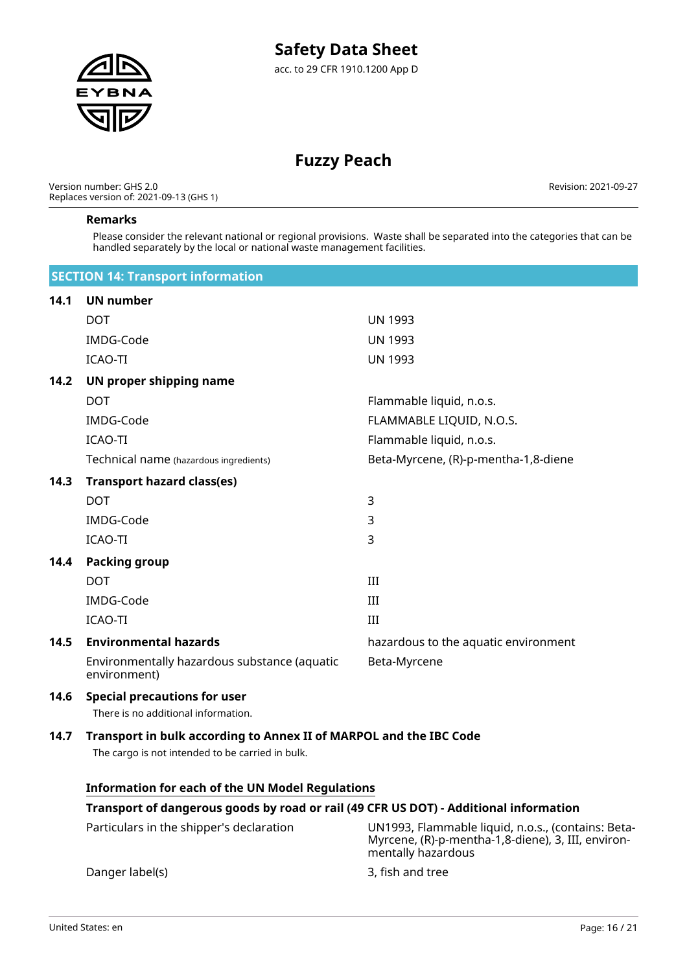

Version number: GHS 2.0 Replaces version of: 2021-09-13 (GHS 1) Revision: 2021-09-27

#### **Remarks**

Please consider the relevant national or regional provisions. Waste shall be separated into the categories that can be handled separately by the local or national waste management facilities.

|      | <b>SECTION 14: Transport information</b>                                                                               |                                      |  |  |  |
|------|------------------------------------------------------------------------------------------------------------------------|--------------------------------------|--|--|--|
| 14.1 | <b>UN number</b>                                                                                                       |                                      |  |  |  |
|      | <b>DOT</b>                                                                                                             | <b>UN 1993</b>                       |  |  |  |
|      | IMDG-Code                                                                                                              | <b>UN 1993</b>                       |  |  |  |
|      | <b>ICAO-TI</b>                                                                                                         | <b>UN 1993</b>                       |  |  |  |
| 14.2 | UN proper shipping name                                                                                                |                                      |  |  |  |
|      | <b>DOT</b>                                                                                                             | Flammable liquid, n.o.s.             |  |  |  |
|      | IMDG-Code                                                                                                              | FLAMMABLE LIQUID, N.O.S.             |  |  |  |
|      | <b>ICAO-TI</b>                                                                                                         | Flammable liquid, n.o.s.             |  |  |  |
|      | Technical name (hazardous ingredients)                                                                                 | Beta-Myrcene, (R)-p-mentha-1,8-diene |  |  |  |
| 14.3 | <b>Transport hazard class(es)</b>                                                                                      |                                      |  |  |  |
|      | <b>DOT</b>                                                                                                             | 3                                    |  |  |  |
|      | IMDG-Code                                                                                                              | 3                                    |  |  |  |
|      | <b>ICAO-TI</b>                                                                                                         | 3                                    |  |  |  |
| 14.4 | <b>Packing group</b>                                                                                                   |                                      |  |  |  |
|      | <b>DOT</b>                                                                                                             | III                                  |  |  |  |
|      | IMDG-Code                                                                                                              | III                                  |  |  |  |
|      | <b>ICAO-TI</b>                                                                                                         | III                                  |  |  |  |
| 14.5 | <b>Environmental hazards</b>                                                                                           | hazardous to the aquatic environment |  |  |  |
|      | Environmentally hazardous substance (aquatic<br>environment)                                                           | Beta-Myrcene                         |  |  |  |
| 14.6 | <b>Special precautions for user</b><br>There is no additional information.                                             |                                      |  |  |  |
| 14.7 | Transport in bulk according to Annex II of MARPOL and the IBC Code<br>The cargo is not intended to be carried in bulk. |                                      |  |  |  |

# **Information for each of the UN Model Regulations**

#### **Transport of dangerous goods by road or rail (49 CFR US DOT) - Additional information**

Particulars in the shipper's declaration UN1993, Flammable liquid, n.o.s., (contains: Beta-

Myrcene, (R)-p-mentha-1,8-diene), 3, III, environmentally hazardous Danger label(s) 3, fish and tree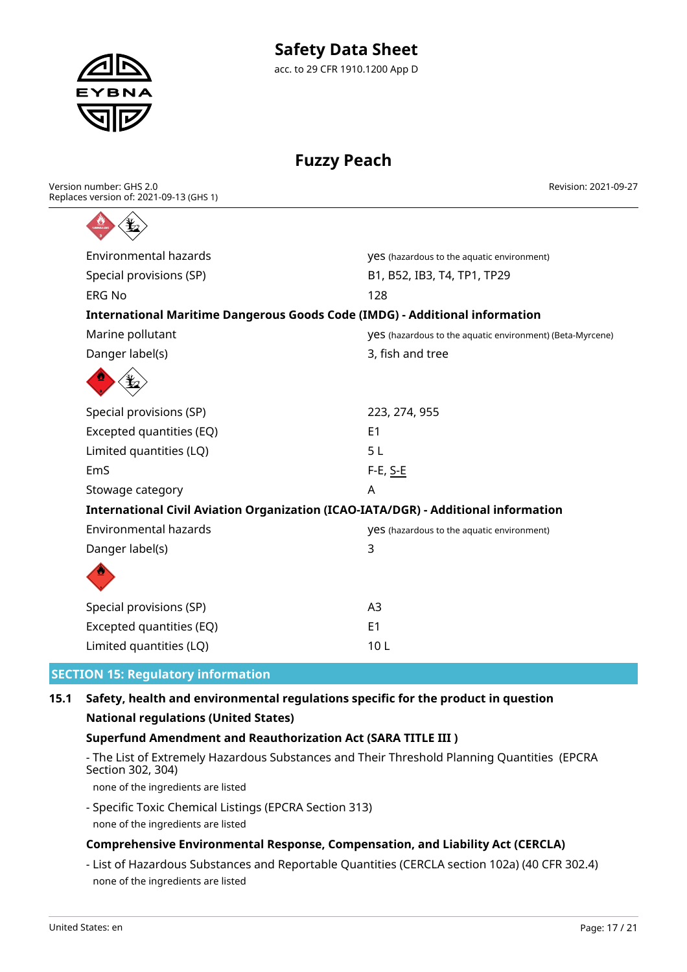

Revision: 2021-09-27

Version number: GHS 2.0 Replaces version of: 2021-09-13 (GHS 1)



| <b>VeS</b> (hazardous to the aquatic environment)                                  |
|------------------------------------------------------------------------------------|
| B1, B52, IB3, T4, TP1, TP29                                                        |
| 128                                                                                |
| <b>International Maritime Dangerous Goods Code (IMDG) - Additional information</b> |
| <b>yes</b> (hazardous to the aquatic environment) (Beta-Myrcene)                   |
| 3, fish and tree                                                                   |
|                                                                                    |
| 223, 274, 955                                                                      |
| E <sub>1</sub>                                                                     |
| 5L                                                                                 |
| F-E, <u>S-E</u>                                                                    |
| A                                                                                  |
| International Civil Aviation Organization (ICAO-IATA/DGR) - Additional information |
| <b>VeS</b> (hazardous to the aquatic environment)                                  |
| 3                                                                                  |
|                                                                                    |
| A <sub>3</sub>                                                                     |
| E <sub>1</sub>                                                                     |
| 10 <sub>L</sub>                                                                    |
|                                                                                    |

#### **SECTION 15: Regulatory information**

### **15.1 Safety, health and environmental regulations specific for the product in question National regulations (United States)**

#### **Superfund Amendment and Reauthorization Act (SARA TITLE III )**

- The List of Extremely Hazardous Substances and Their Threshold Planning Quantities (EPCRA Section 302, 304)

none of the ingredients are listed

- Specific Toxic Chemical Listings (EPCRA Section 313) none of the ingredients are listed

#### **Comprehensive Environmental Response, Compensation, and Liability Act (CERCLA)**

- List of Hazardous Substances and Reportable Quantities (CERCLA section 102a) (40 CFR 302.4) none of the ingredients are listed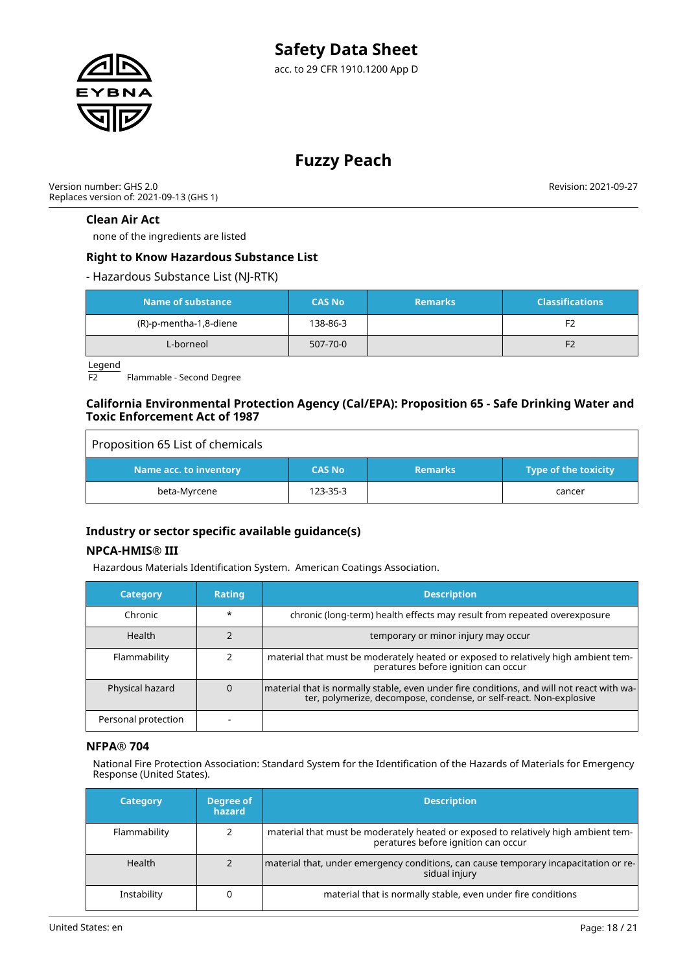

Version number: GHS 2.0 Replaces version of: 2021-09-13 (GHS 1) Revision: 2021-09-27

#### **Clean Air Act**

none of the ingredients are listed

#### **Right to Know Hazardous Substance List**

- Hazardous Substance List (NJ-RTK)

| Name of substance      | <b>CAS No</b>  | <b>Remarks</b> | <b>Classifications</b> |
|------------------------|----------------|----------------|------------------------|
| (R)-p-mentha-1,8-diene | 138-86-3       |                | F <sub>2</sub>         |
| L-borneol              | $507 - 70 - 0$ |                | F <sub>2</sub>         |

Legend<br>F<sub>2</sub> Flammable - Second Degree

#### **California Environmental Protection Agency (Cal/EPA): Proposition 65 - Safe Drinking Water and Toxic Enforcement Act of 1987**

| Proposition 65 List of chemicals |               |                |                             |
|----------------------------------|---------------|----------------|-----------------------------|
| Name acc. to inventory           | <b>CAS No</b> | <b>Remarks</b> | <b>Type of the toxicity</b> |
| beta-Myrcene                     | 123-35-3      |                | cancer                      |

#### **Industry or sector specific available guidance(s)**

#### **NPCA-HMIS® III**

Hazardous Materials Identification System. American Coatings Association.

| <b>Category</b>     | <b>Rating</b> | <b>Description</b>                                                                                                                                              |
|---------------------|---------------|-----------------------------------------------------------------------------------------------------------------------------------------------------------------|
| Chronic             | $\star$       | chronic (long-term) health effects may result from repeated overexposure                                                                                        |
| <b>Health</b>       |               | temporary or minor injury may occur                                                                                                                             |
| Flammability        |               | material that must be moderately heated or exposed to relatively high ambient tem-<br>peratures before ignition can occur                                       |
| Physical hazard     | 0             | material that is normally stable, even under fire conditions, and will not react with wa-<br>ter, polymerize, decompose, condense, or self-react. Non-explosive |
| Personal protection |               |                                                                                                                                                                 |

#### **NFPA® 704**

National Fire Protection Association: Standard System for the Identification of the Hazards of Materials for Emergency Response (United States).

| <b>Category</b> | Degree of<br>hazard | <b>Description</b>                                                                                                        |
|-----------------|---------------------|---------------------------------------------------------------------------------------------------------------------------|
| Flammability    |                     | material that must be moderately heated or exposed to relatively high ambient tem-<br>peratures before ignition can occur |
| Health          |                     | material that, under emergency conditions, can cause temporary incapacitation or re-<br>sidual injury                     |
| Instability     |                     | material that is normally stable, even under fire conditions                                                              |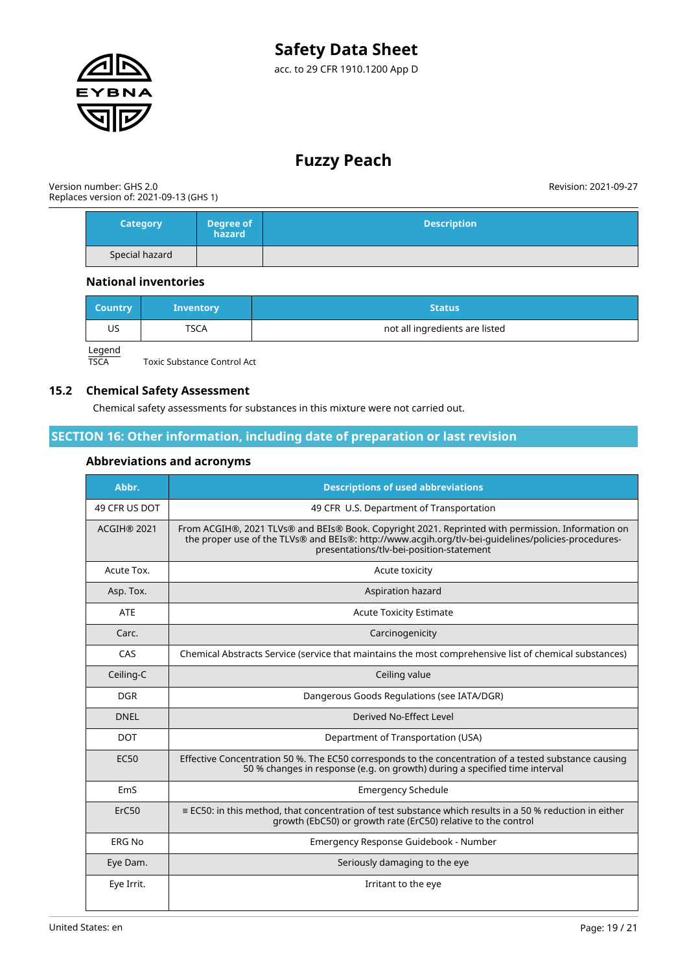

| Version number: GHS 2.0                 |  |
|-----------------------------------------|--|
| Replaces version of: 2021-09-13 (GHS 1) |  |

Revision: 2021-09-27

| <b>Category</b> | Degree of<br>hazard <sup>1</sup> | <b>Description</b> |
|-----------------|----------------------------------|--------------------|
| Special hazard  |                                  |                    |

#### **National inventories**

| <b>Country</b> | <b>Inventory</b> | Status                         |
|----------------|------------------|--------------------------------|
| US             | <b>TSCA</b>      | not all ingredients are listed |

Legend<br>TSCA

Toxic Substance Control Act

#### **15.2 Chemical Safety Assessment**

Chemical safety assessments for substances in this mixture were not carried out.

### **SECTION 16: Other information, including date of preparation or last revision**

#### **Abbreviations and acronyms**

| Abbr.              | <b>Descriptions of used abbreviations</b>                                                                                                                                                                                                            |
|--------------------|------------------------------------------------------------------------------------------------------------------------------------------------------------------------------------------------------------------------------------------------------|
| 49 CFR US DOT      | 49 CFR U.S. Department of Transportation                                                                                                                                                                                                             |
| <b>ACGIH® 2021</b> | From ACGIH®, 2021 TLVs® and BEIs® Book. Copyright 2021. Reprinted with permission. Information on<br>the proper use of the TLVs® and BEIs®: http://www.acgih.org/tlv-bei-guidelines/policies-procedures-<br>presentations/tlv-bei-position-statement |
| Acute Tox.         | Acute toxicity                                                                                                                                                                                                                                       |
| Asp. Tox.          | Aspiration hazard                                                                                                                                                                                                                                    |
| <b>ATE</b>         | <b>Acute Toxicity Estimate</b>                                                                                                                                                                                                                       |
| Carc.              | Carcinogenicity                                                                                                                                                                                                                                      |
| CAS                | Chemical Abstracts Service (service that maintains the most comprehensive list of chemical substances)                                                                                                                                               |
| Ceiling-C          | Ceiling value                                                                                                                                                                                                                                        |
| <b>DGR</b>         | Dangerous Goods Regulations (see IATA/DGR)                                                                                                                                                                                                           |
| <b>DNEL</b>        | Derived No-Effect Level                                                                                                                                                                                                                              |
| <b>DOT</b>         | Department of Transportation (USA)                                                                                                                                                                                                                   |
| <b>EC50</b>        | Effective Concentration 50 %. The EC50 corresponds to the concentration of a tested substance causing<br>50 % changes in response (e.g. on growth) during a specified time interval                                                                  |
| EmS                | <b>Emergency Schedule</b>                                                                                                                                                                                                                            |
| ErC50              | $\equiv$ EC50: in this method, that concentration of test substance which results in a 50 % reduction in either<br>growth (EbC50) or growth rate (ErC50) relative to the control                                                                     |
| <b>ERG No</b>      | Emergency Response Guidebook - Number                                                                                                                                                                                                                |
| Eye Dam.           | Seriously damaging to the eye                                                                                                                                                                                                                        |
| Eye Irrit.         | Irritant to the eye                                                                                                                                                                                                                                  |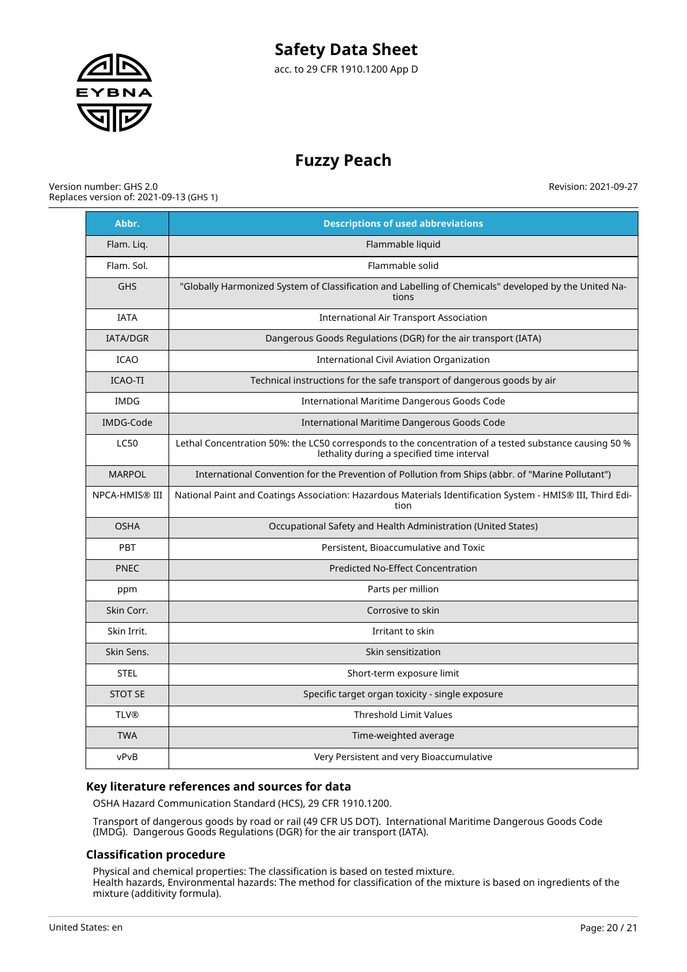

# **Fuzzy Peach**

#### Version number: GHS 2.0 Replaces version of: 2021-09-13 (GHS 1)

Revision: 2021-09-27

| Abbr.           | <b>Descriptions of used abbreviations</b>                                                                                                            |
|-----------------|------------------------------------------------------------------------------------------------------------------------------------------------------|
| Flam. Lig.      | Flammable liquid                                                                                                                                     |
| Flam. Sol.      | Flammable solid                                                                                                                                      |
| <b>GHS</b>      | "Globally Harmonized System of Classification and Labelling of Chemicals" developed by the United Na-<br>tions                                       |
| <b>IATA</b>     | <b>International Air Transport Association</b>                                                                                                       |
| <b>IATA/DGR</b> | Dangerous Goods Regulations (DGR) for the air transport (IATA)                                                                                       |
| <b>ICAO</b>     | <b>International Civil Aviation Organization</b>                                                                                                     |
| <b>ICAO-TI</b>  | Technical instructions for the safe transport of dangerous goods by air                                                                              |
| <b>IMDG</b>     | International Maritime Dangerous Goods Code                                                                                                          |
| IMDG-Code       | International Maritime Dangerous Goods Code                                                                                                          |
| <b>LC50</b>     | Lethal Concentration 50%: the LC50 corresponds to the concentration of a tested substance causing 50 %<br>lethality during a specified time interval |
| <b>MARPOL</b>   | International Convention for the Prevention of Pollution from Ships (abbr. of "Marine Pollutant")                                                    |
| NPCA-HMIS® III  | National Paint and Coatings Association: Hazardous Materials Identification System - HMIS® III, Third Edi-<br>tion                                   |
| <b>OSHA</b>     | Occupational Safety and Health Administration (United States)                                                                                        |
| <b>PBT</b>      | Persistent, Bioaccumulative and Toxic                                                                                                                |
| <b>PNEC</b>     | <b>Predicted No-Effect Concentration</b>                                                                                                             |
| ppm             | Parts per million                                                                                                                                    |
| Skin Corr.      | Corrosive to skin                                                                                                                                    |
| Skin Irrit.     | Irritant to skin                                                                                                                                     |
| Skin Sens.      | Skin sensitization                                                                                                                                   |
| <b>STEL</b>     | Short-term exposure limit                                                                                                                            |
| <b>STOT SE</b>  | Specific target organ toxicity - single exposure                                                                                                     |
| <b>TLV®</b>     | <b>Threshold Limit Values</b>                                                                                                                        |
| <b>TWA</b>      | Time-weighted average                                                                                                                                |
| vPvB            | Very Persistent and very Bioaccumulative                                                                                                             |

#### **Key literature references and sources for data**

OSHA Hazard Communication Standard (HCS), 29 CFR 1910.1200.

Transport of dangerous goods by road or rail (49 CFR US DOT). International Maritime Dangerous Goods Code (IMDG). Dangerous Goods Regulations (DGR) for the air transport (IATA).

#### **Classification procedure**

Physical and chemical properties: The classification is based on tested mixture. Health hazards, Environmental hazards: The method for classification of the mixture is based on ingredients of the mixture (additivity formula).